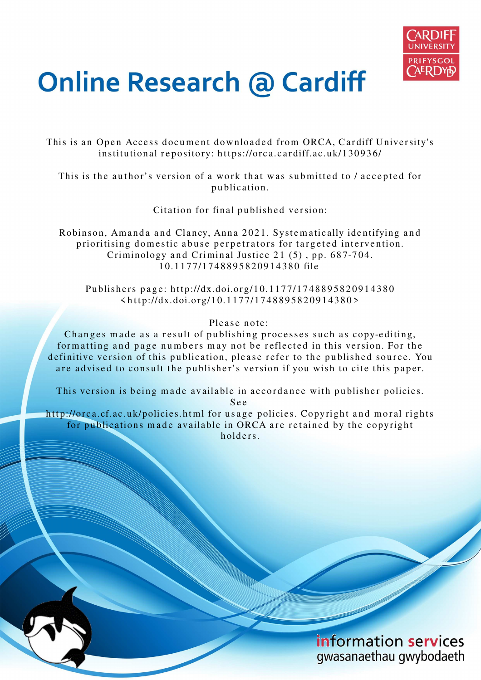

# **Online Research @ Cardiff**

This is an Open Access document downloaded from ORCA, Cardiff University's institutional repository: https://orca.cardiff.ac.uk/130936/

This is the author's version of a work that was submitted to / accepted for p u blication.

Citation for final published version:

Robinson, Amanda and Clancy, Anna 2021. Systematically identifying and prioritising domestic abuse perpetrators for targeted intervention. Criminology and Criminal Justice  $21(5)$ , pp. 687-704. 1 0.1 1 7 7/1 74 8 8 9 5 8 2 0 9 1 4 3 8 0 file

Publishers page: http://dx.doi.org/10.1177/1748895820914380  $\langle \text{http://dx.doi.org/10.1177/1748895820914380>}$ 

Please note:

Changes made as a result of publishing processes such as copy-editing, formatting and page numbers may not be reflected in this version. For the definitive version of this publication, please refer to the published source. You are advised to consult the publisher's version if you wish to cite this paper.

This version is being made available in accordance with publisher policies. S e e

http://orca.cf.ac.uk/policies.html for usage policies. Copyright and moral rights for publications made available in ORCA are retained by the copyright holders



information services gwasanaethau gwybodaeth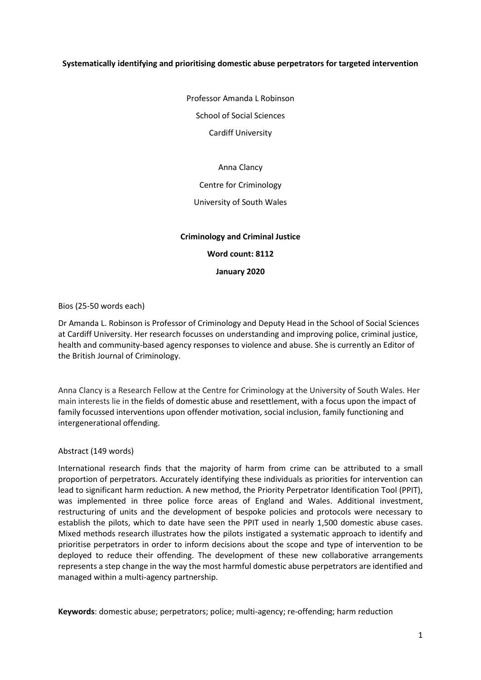# **Systematically identifying and prioritising domestic abuse perpetrators for targeted intervention**

Professor Amanda L Robinson School of Social Sciences

Cardiff University

# Anna Clancy

# Centre for Criminology

# University of South Wales

# **Criminology and Criminal Justice Word count: 8112 January 2020**

# Bios (25-50 words each)

Dr Amanda L. Robinson is Professor of Criminology and Deputy Head in the School of Social Sciences at Cardiff University. Her research focusses on understanding and improving police, criminal justice, health and community-based agency responses to violence and abuse. She is currently an Editor of the British Journal of Criminology.

Anna Clancy is a Research Fellow at the Centre for Criminology at the University of South Wales. Her main interests lie in the fields of domestic abuse and resettlement, with a focus upon the impact of family focussed interventions upon offender motivation, social inclusion, family functioning and intergenerational offending.

# Abstract (149 words)

International research finds that the majority of harm from crime can be attributed to a small proportion of perpetrators. Accurately identifying these individuals as priorities for intervention can lead to significant harm reduction. A new method, the Priority Perpetrator Identification Tool (PPIT), was implemented in three police force areas of England and Wales. Additional investment, restructuring of units and the development of bespoke policies and protocols were necessary to establish the pilots, which to date have seen the PPIT used in nearly 1,500 domestic abuse cases. Mixed methods research illustrates how the pilots instigated a systematic approach to identify and prioritise perpetrators in order to inform decisions about the scope and type of intervention to be deployed to reduce their offending. The development of these new collaborative arrangements represents a step change in the way the most harmful domestic abuse perpetrators are identified and managed within a multi-agency partnership.

**Keywords**: domestic abuse; perpetrators; police; multi-agency; re-offending; harm reduction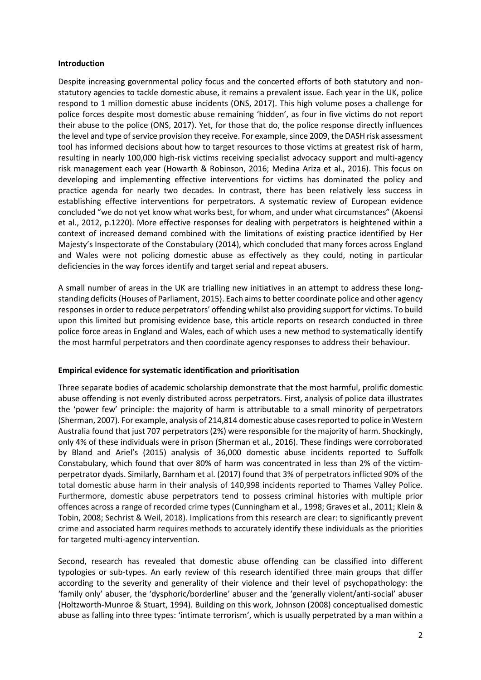#### **Introduction**

Despite increasing governmental policy focus and the concerted efforts of both statutory and nonstatutory agencies to tackle domestic abuse, it remains a prevalent issue. Each year in the UK, police respond to 1 million domestic abuse incidents (ONS, 2017). This high volume poses a challenge for police forces despite most domestic abuse remaining 'hidden', as four in five victims do not report their abuse to the police (ONS, 2017). Yet, for those that do, the police response directly influences the level and type of service provision they receive. For example, since 2009, the DASH risk assessment tool has informed decisions about how to target resources to those victims at greatest risk of harm, resulting in nearly 100,000 high-risk victims receiving specialist advocacy support and multi-agency risk management each year (Howarth & Robinson, 2016; Medina Ariza et al., 2016). This focus on developing and implementing effective interventions for victims has dominated the policy and practice agenda for nearly two decades. In contrast, there has been relatively less success in establishing effective interventions for perpetrators. A systematic review of European evidence concluded "we do not yet know what works best, for whom, and under what circumstances" (Akoensi et al., 2012, p.1220). More effective responses for dealing with perpetrators is heightened within a context of increased demand combined with the limitations of existing practice identified by Her Majesty's Inspectorate of the Constabulary (2014), which concluded that many forces across England and Wales were not policing domestic abuse as effectively as they could, noting in particular deficiencies in the way forces identify and target serial and repeat abusers.

A small number of areas in the UK are trialling new initiatives in an attempt to address these longstanding deficits (Houses of Parliament, 2015). Each aims to better coordinate police and other agency responses in order to reduce perpetrators' offending whilst also providing support for victims. To build upon this limited but promising evidence base, this article reports on research conducted in three police force areas in England and Wales, each of which uses a new method to systematically identify the most harmful perpetrators and then coordinate agency responses to address their behaviour.

# **Empirical evidence for systematic identification and prioritisation**

Three separate bodies of academic scholarship demonstrate that the most harmful, prolific domestic abuse offending is not evenly distributed across perpetrators. First, analysis of police data illustrates the 'power few' principle: the majority of harm is attributable to a small minority of perpetrators (Sherman, 2007). For example, analysis of 214,814 domestic abuse cases reported to police in Western Australia found that just 707 perpetrators (2%) were responsible for the majority of harm. Shockingly, only 4% of these individuals were in prison (Sherman et al., 2016). These findings were corroborated by Bland and Ariel's (2015) analysis of 36,000 domestic abuse incidents reported to Suffolk Constabulary, which found that over 80% of harm was concentrated in less than 2% of the victimperpetrator dyads. Similarly, Barnham et al. (2017) found that 3% of perpetrators inflicted 90% of the total domestic abuse harm in their analysis of 140,998 incidents reported to Thames Valley Police. Furthermore, domestic abuse perpetrators tend to possess criminal histories with multiple prior offences across a range of recorded crime types (Cunningham et al., 1998; Graves et al., 2011; Klein & Tobin, 2008; Sechrist & Weil, 2018). Implications from this research are clear: to significantly prevent crime and associated harm requires methods to accurately identify these individuals as the priorities for targeted multi-agency intervention.

Second, research has revealed that domestic abuse offending can be classified into different typologies or sub-types. An early review of this research identified three main groups that differ according to the severity and generality of their violence and their level of psychopathology: the 'family only' abuser, the 'dysphoric/borderline' abuser and the 'generally violent/anti-social' abuser (Holtzworth-Munroe & Stuart, 1994). Building on this work, Johnson (2008) conceptualised domestic abuse as falling into three types: 'intimate terrorism', which is usually perpetrated by a man within a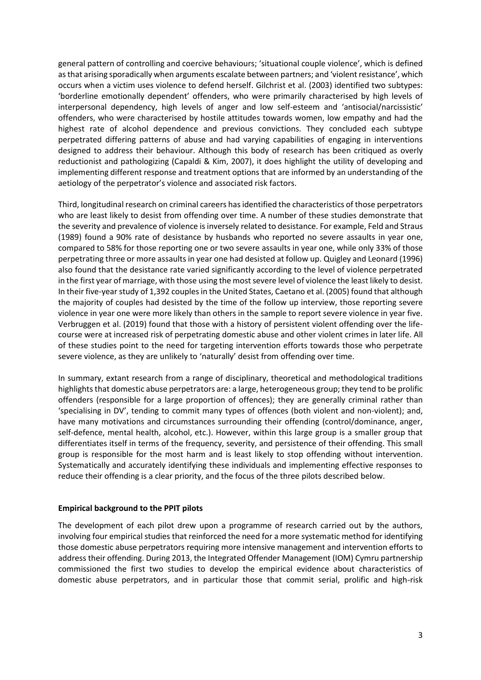general pattern of controlling and coercive behaviours; 'situational couple violence', which is defined as that arising sporadically when arguments escalate between partners; and 'violent resistance', which occurs when a victim uses violence to defend herself. Gilchrist et al. (2003) identified two subtypes: 'borderline emotionally dependent' offenders, who were primarily characterised by high levels of interpersonal dependency, high levels of anger and low self-esteem and 'antisocial/narcissistic' offenders, who were characterised by hostile attitudes towards women, low empathy and had the highest rate of alcohol dependence and previous convictions. They concluded each subtype perpetrated differing patterns of abuse and had varying capabilities of engaging in interventions designed to address their behaviour. Although this body of research has been critiqued as overly reductionist and pathologizing (Capaldi & Kim, 2007), it does highlight the utility of developing and implementing different response and treatment options that are informed by an understanding of the aetiology of the perpetrator's violence and associated risk factors.

Third, longitudinal research on criminal careers has identified the characteristics of those perpetrators who are least likely to desist from offending over time. A number of these studies demonstrate that the severity and prevalence of violence is inversely related to desistance. For example, Feld and Straus (1989) found a 90% rate of desistance by husbands who reported no severe assaults in year one, compared to 58% for those reporting one or two severe assaults in year one, while only 33% of those perpetrating three or more assaults in year one had desisted at follow up. Quigley and Leonard (1996) also found that the desistance rate varied significantly according to the level of violence perpetrated in the first year of marriage, with those using the most severe level of violence the least likely to desist. In their five-year study of 1,392 couples in the United States, Caetano et al. (2005) found that although the majority of couples had desisted by the time of the follow up interview, those reporting severe violence in year one were more likely than others in the sample to report severe violence in year five. Verbruggen et al. (2019) found that those with a history of persistent violent offending over the lifecourse were at increased risk of perpetrating domestic abuse and other violent crimes in later life. All of these studies point to the need for targeting intervention efforts towards those who perpetrate severe violence, as they are unlikely to 'naturally' desist from offending over time.

In summary, extant research from a range of disciplinary, theoretical and methodological traditions highlights that domestic abuse perpetrators are: a large, heterogeneous group; they tend to be prolific offenders (responsible for a large proportion of offences); they are generally criminal rather than 'specialising in DV', tending to commit many types of offences (both violent and non-violent); and, have many motivations and circumstances surrounding their offending (control/dominance, anger, self-defence, mental health, alcohol, etc.). However, within this large group is a smaller group that differentiates itself in terms of the frequency, severity, and persistence of their offending. This small group is responsible for the most harm and is least likely to stop offending without intervention. Systematically and accurately identifying these individuals and implementing effective responses to reduce their offending is a clear priority, and the focus of the three pilots described below.

# **Empirical background to the PPIT pilots**

The development of each pilot drew upon a programme of research carried out by the authors, involving four empirical studies that reinforced the need for a more systematic method for identifying those domestic abuse perpetrators requiring more intensive management and intervention efforts to address their offending. During 2013, the Integrated Offender Management (IOM) Cymru partnership commissioned the first two studies to develop the empirical evidence about characteristics of domestic abuse perpetrators, and in particular those that commit serial, prolific and high-risk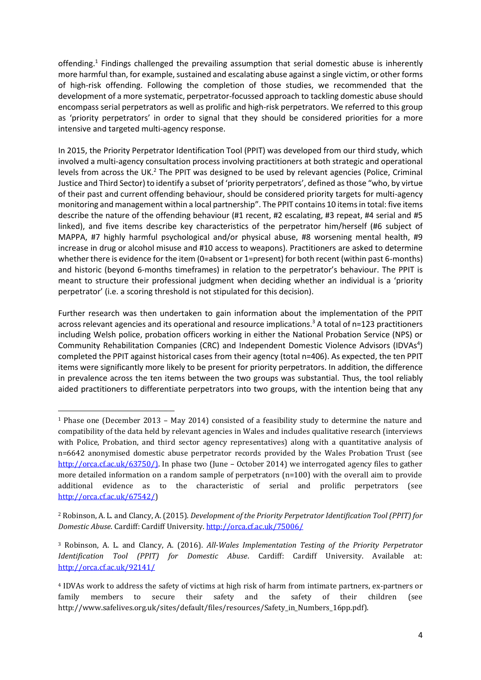offending.<sup>1</sup> Findings challenged the prevailing assumption that serial domestic abuse is inherently more harmful than, for example, sustained and escalating abuse against a single victim, or other forms of high-risk offending. Following the completion of those studies, we recommended that the development of a more systematic, perpetrator-focussed approach to tackling domestic abuse should encompass serial perpetrators as well as prolific and high-risk perpetrators. We referred to this group as 'priority perpetrators' in order to signal that they should be considered priorities for a more intensive and targeted multi-agency response.

In 2015, the Priority Perpetrator Identification Tool (PPIT) was developed from our third study, which involved a multi-agency consultation process involving practitioners at both strategic and operational levels from across the UK.<sup>2</sup> The PPIT was designed to be used by relevant agencies (Police, Criminal Justice and Third Sector) to identify a subset of 'priority perpetrators', defined as those "who, by virtue of their past and current offending behaviour, should be considered priority targets for multi-agency monitoring and management within a local partnership". The PPIT contains 10 items in total: five items describe the nature of the offending behaviour (#1 recent, #2 escalating, #3 repeat, #4 serial and #5 linked), and five items describe key characteristics of the perpetrator him/herself (#6 subject of MAPPA, #7 highly harmful psychological and/or physical abuse, #8 worsening mental health, #9 increase in drug or alcohol misuse and #10 access to weapons). Practitioners are asked to determine whether there is evidence for the item (0=absent or 1=present) for both recent (within past 6-months) and historic (beyond 6-months timeframes) in relation to the perpetrator's behaviour. The PPIT is meant to structure their professional judgment when deciding whether an individual is a 'priority perpetrator' (i.e. a scoring threshold is not stipulated for this decision).

Further research was then undertaken to gain information about the implementation of the PPIT across relevant agencies and its operational and resource implications.<sup>3</sup> A total of n=123 practitioners including Welsh police, probation officers working in either the National Probation Service (NPS) or Community Rehabilitation Companies (CRC) and Independent Domestic Violence Advisors (IDVAs<sup>4</sup>) completed the PPIT against historical cases from their agency (total n=406). As expected, the ten PPIT items were significantly more likely to be present for priority perpetrators. In addition, the difference in prevalence across the ten items between the two groups was substantial. Thus, the tool reliably aided practitioners to differentiate perpetrators into two groups, with the intention being that any

<sup>1</sup> Phase one (December 2013 – May 2014) consisted of a feasibility study to determine the nature and compatibility of the data held by relevant agencies in Wales and includes qualitative research (interviews with Police, Probation, and third sector agency representatives) along with a quantitative analysis of n=6642 anonymised domestic abuse perpetrator records provided by the Wales Probation Trust (see [http://orca.cf.ac.uk/63750/\)](http://orca.cf.ac.uk/63750/). In phase two (June – October 2014) we interrogated agency files to gather more detailed information on a random sample of perpetrators (n=100) with the overall aim to provide additional evidence as to the characteristic of serial and prolific perpetrators (see [http://orca.cf.ac.uk/67542/\)](http://orca.cf.ac.uk/67542/)

<sup>2</sup> Robinson, A. L. and Clancy, A. (2015). *Development of the Priority Perpetrator Identification Tool (PPIT) for Domestic Abuse*. Cardiff: Cardiff University[. http://orca.cf.ac.uk/75006/](http://orca.cf.ac.uk/75006/) 

<sup>3</sup> Robinson, A. L. and Clancy, A. (2016). *All-Wales Implementation Testing of the Priority Perpetrator Identification Tool (PPIT) for Domestic Abuse*. Cardiff: Cardiff University. Available at: <http://orca.cf.ac.uk/92141/>

<sup>4</sup> IDVAs work to address the safety of victims at high risk of harm from intimate partners, ex-partners or family members to secure their safety and the safety of their children (see http://www.safelives.org.uk/sites/default/files/resources/Safety\_in\_Numbers\_16pp.pdf).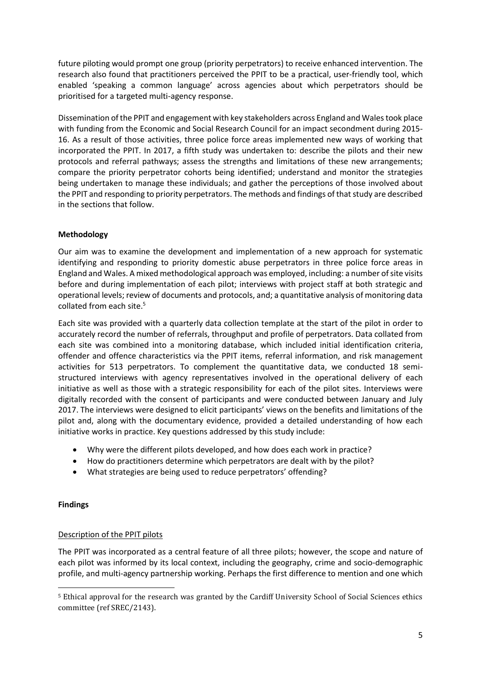future piloting would prompt one group (priority perpetrators) to receive enhanced intervention. The research also found that practitioners perceived the PPIT to be a practical, user-friendly tool, which enabled 'speaking a common language' across agencies about which perpetrators should be prioritised for a targeted multi-agency response.

Dissemination of the PPIT and engagement with key stakeholders across England and Wales took place with funding from the Economic and Social Research Council for an impact secondment during 2015- 16. As a result of those activities, three police force areas implemented new ways of working that incorporated the PPIT. In 2017, a fifth study was undertaken to: describe the pilots and their new protocols and referral pathways; assess the strengths and limitations of these new arrangements; compare the priority perpetrator cohorts being identified; understand and monitor the strategies being undertaken to manage these individuals; and gather the perceptions of those involved about the PPIT and responding to priority perpetrators. The methods and findings of that study are described in the sections that follow.

# **Methodology**

Our aim was to examine the development and implementation of a new approach for systematic identifying and responding to priority domestic abuse perpetrators in three police force areas in England and Wales. A mixed methodological approach was employed, including: a number of site visits before and during implementation of each pilot; interviews with project staff at both strategic and operational levels; review of documents and protocols, and; a quantitative analysis of monitoring data collated from each site.<sup>5</sup>

Each site was provided with a quarterly data collection template at the start of the pilot in order to accurately record the number of referrals, throughput and profile of perpetrators. Data collated from each site was combined into a monitoring database, which included initial identification criteria, offender and offence characteristics via the PPIT items, referral information, and risk management activities for 513 perpetrators. To complement the quantitative data, we conducted 18 semistructured interviews with agency representatives involved in the operational delivery of each initiative as well as those with a strategic responsibility for each of the pilot sites. Interviews were digitally recorded with the consent of participants and were conducted between January and July 2017. The interviews were designed to elicit participants' views on the benefits and limitations of the pilot and, along with the documentary evidence, provided a detailed understanding of how each initiative works in practice. Key questions addressed by this study include:

- Why were the different pilots developed, and how does each work in practice?
- How do practitioners determine which perpetrators are dealt with by the pilot?
- What strategies are being used to reduce perpetrators' offending?

# **Findings**

# Description of the PPIT pilots

The PPIT was incorporated as a central feature of all three pilots; however, the scope and nature of each pilot was informed by its local context, including the geography, crime and socio-demographic profile, and multi-agency partnership working. Perhaps the first difference to mention and one which

<sup>5</sup> Ethical approval for the research was granted by the Cardiff University School of Social Sciences ethics committee (ref SREC/2143).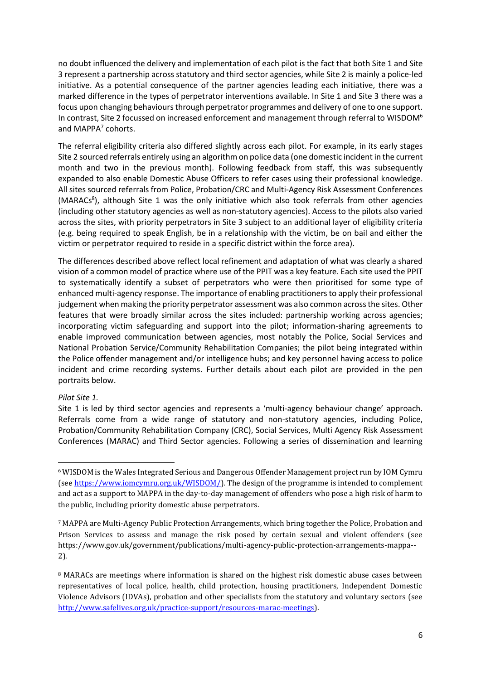no doubt influenced the delivery and implementation of each pilot is the fact that both Site 1 and Site 3 represent a partnership across statutory and third sector agencies, while Site 2 is mainly a police-led initiative. As a potential consequence of the partner agencies leading each initiative, there was a marked difference in the types of perpetrator interventions available. In Site 1 and Site 3 there was a focus upon changing behaviours through perpetrator programmes and delivery of one to one support. In contrast, Site 2 focussed on increased enforcement and management through referral to WISDOM<sup>6</sup> and MAPPA<sup>7</sup> cohorts.

The referral eligibility criteria also differed slightly across each pilot. For example, in its early stages Site 2 sourced referrals entirely using an algorithm on police data (one domestic incident in the current month and two in the previous month). Following feedback from staff, this was subsequently expanded to also enable Domestic Abuse Officers to refer cases using their professional knowledge. All sites sourced referrals from Police, Probation/CRC and Multi-Agency Risk Assessment Conferences (MARACs<sup>8</sup>), although Site 1 was the only initiative which also took referrals from other agencies (including other statutory agencies as well as non-statutory agencies). Access to the pilots also varied across the sites, with priority perpetrators in Site 3 subject to an additional layer of eligibility criteria (e.g. being required to speak English, be in a relationship with the victim, be on bail and either the victim or perpetrator required to reside in a specific district within the force area).

The differences described above reflect local refinement and adaptation of what was clearly a shared vision of a common model of practice where use of the PPIT was a key feature. Each site used the PPIT to systematically identify a subset of perpetrators who were then prioritised for some type of enhanced multi-agency response. The importance of enabling practitioners to apply their professional judgement when making the priority perpetrator assessment was also common across the sites. Other features that were broadly similar across the sites included: partnership working across agencies; incorporating victim safeguarding and support into the pilot; information-sharing agreements to enable improved communication between agencies, most notably the Police, Social Services and National Probation Service/Community Rehabilitation Companies; the pilot being integrated within the Police offender management and/or intelligence hubs; and key personnel having access to police incident and crime recording systems. Further details about each pilot are provided in the pen portraits below.

# *Pilot Site 1.*

Site 1 is led by third sector agencies and represents a 'multi-agency behaviour change' approach. Referrals come from a wide range of statutory and non-statutory agencies, including Police, Probation/Community Rehabilitation Company (CRC), Social Services, Multi Agency Risk Assessment Conferences (MARAC) and Third Sector agencies. Following a series of dissemination and learning

<sup>6</sup> WISDOM is the Wales Integrated Serious and Dangerous Offender Management project run by IOM Cymru (see [https://www.iomcymru.org.uk/WISDOM/\)](https://www.iomcymru.org.uk/WISDOM/). The design of the programme is intended to complement and act as a support to MAPPA in the day-to-day management of offenders who pose a high risk of harm to the public, including priority domestic abuse perpetrators.

<sup>7</sup> MAPPA are Multi-Agency Public Protection Arrangements, which bring together the Police, Probation and Prison Services to assess and manage the risk posed by certain sexual and violent offenders (see https://www.gov.uk/government/publications/multi-agency-public-protection-arrangements-mappa-- 2).

<sup>&</sup>lt;sup>8</sup> MARACs are meetings where information is shared on the highest risk domestic abuse cases between representatives of local police, health, child protection, housing practitioners, Independent Domestic Violence Advisors (IDVAs), probation and other specialists from the statutory and voluntary sectors (see [http://www.safelives.org.uk/practice-support/resources-marac-meetings\)](http://www.safelives.org.uk/practice-support/resources-marac-meetings).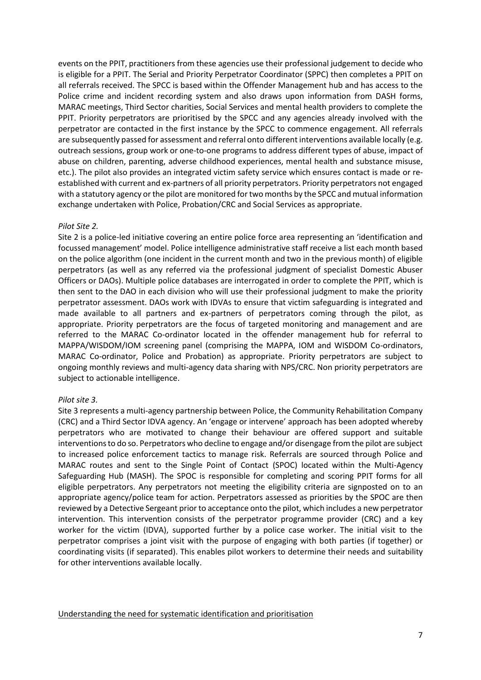events on the PPIT, practitioners from these agencies use their professional judgement to decide who is eligible for a PPIT. The Serial and Priority Perpetrator Coordinator (SPPC) then completes a PPIT on all referrals received. The SPCC is based within the Offender Management hub and has access to the Police crime and incident recording system and also draws upon information from DASH forms, MARAC meetings, Third Sector charities, Social Services and mental health providers to complete the PPIT. Priority perpetrators are prioritised by the SPCC and any agencies already involved with the perpetrator are contacted in the first instance by the SPCC to commence engagement. All referrals are subsequently passed for assessment and referral onto different interventions available locally (e.g. outreach sessions, group work or one-to-one programs to address different types of abuse, impact of abuse on children, parenting, adverse childhood experiences, mental health and substance misuse, etc.). The pilot also provides an integrated victim safety service which ensures contact is made or reestablished with current and ex-partners of all priority perpetrators. Priority perpetrators not engaged with a statutory agency or the pilot are monitored for two months by the SPCC and mutual information exchange undertaken with Police, Probation/CRC and Social Services as appropriate.

#### *Pilot Site 2.*

Site 2 is a police-led initiative covering an entire police force area representing an 'identification and focussed management' model. Police intelligence administrative staff receive a list each month based on the police algorithm (one incident in the current month and two in the previous month) of eligible perpetrators (as well as any referred via the professional judgment of specialist Domestic Abuser Officers or DAOs). Multiple police databases are interrogated in order to complete the PPIT, which is then sent to the DAO in each division who will use their professional judgment to make the priority perpetrator assessment. DAOs work with IDVAs to ensure that victim safeguarding is integrated and made available to all partners and ex-partners of perpetrators coming through the pilot, as appropriate. Priority perpetrators are the focus of targeted monitoring and management and are referred to the MARAC Co-ordinator located in the offender management hub for referral to MAPPA/WISDOM/IOM screening panel (comprising the MAPPA, IOM and WISDOM Co-ordinators, MARAC Co-ordinator, Police and Probation) as appropriate. Priority perpetrators are subject to ongoing monthly reviews and multi-agency data sharing with NPS/CRC. Non priority perpetrators are subject to actionable intelligence.

# *Pilot site 3.*

Site 3 represents a multi-agency partnership between Police, the Community Rehabilitation Company (CRC) and a Third Sector IDVA agency. An 'engage or intervene' approach has been adopted whereby perpetrators who are motivated to change their behaviour are offered support and suitable interventions to do so. Perpetrators who decline to engage and/or disengage from the pilot are subject to increased police enforcement tactics to manage risk. Referrals are sourced through Police and MARAC routes and sent to the Single Point of Contact (SPOC) located within the Multi-Agency Safeguarding Hub (MASH). The SPOC is responsible for completing and scoring PPIT forms for all eligible perpetrators. Any perpetrators not meeting the eligibility criteria are signposted on to an appropriate agency/police team for action. Perpetrators assessed as priorities by the SPOC are then reviewed by a Detective Sergeant prior to acceptance onto the pilot, which includes a new perpetrator intervention. This intervention consists of the perpetrator programme provider (CRC) and a key worker for the victim (IDVA), supported further by a police case worker. The initial visit to the perpetrator comprises a joint visit with the purpose of engaging with both parties (if together) or coordinating visits (if separated). This enables pilot workers to determine their needs and suitability for other interventions available locally.

Understanding the need for systematic identification and prioritisation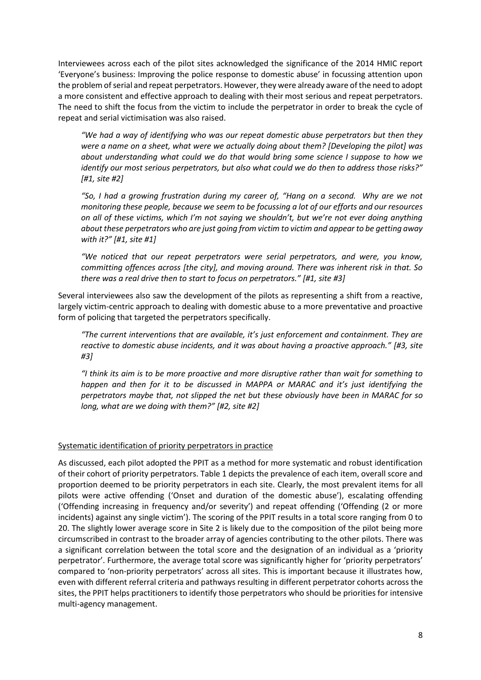Interviewees across each of the pilot sites acknowledged the significance of the 2014 HMIC report 'Everyone's business: Improving the police response to domestic abuse' in focussing attention upon the problem of serial and repeat perpetrators. However, they were already aware of the need to adopt a more consistent and effective approach to dealing with their most serious and repeat perpetrators. The need to shift the focus from the victim to include the perpetrator in order to break the cycle of repeat and serial victimisation was also raised.

*"We had a way of identifying who was our repeat domestic abuse perpetrators but then they were a name on a sheet, what were we actually doing about them? [Developing the pilot] was about understanding what could we do that would bring some science I suppose to how we identify our most serious perpetrators, but also what could we do then to address those risks?" [#1, site #2]* 

*"So, I had a growing frustration during my career of, "Hang on a second. Why are we not monitoring these people, because we seem to be focussing a lot of our efforts and our resources on all of these victims, which I'm not saying we shouldn't, but we're not ever doing anything about these perpetrators who are just going from victim to victim and appear to be getting away with it?" [#1, site #1]* 

*"We noticed that our repeat perpetrators were serial perpetrators, and were, you know, committing offences across [the city], and moving around. There was inherent risk in that. So there was a real drive then to start to focus on perpetrators." [#1, site #3]* 

Several interviewees also saw the development of the pilots as representing a shift from a reactive, largely victim-centric approach to dealing with domestic abuse to a more preventative and proactive form of policing that targeted the perpetrators specifically.

*"The current interventions that are available, it's just enforcement and containment. They are reactive to domestic abuse incidents, and it was about having a proactive approach." [#3, site #3]* 

*"I think its aim is to be more proactive and more disruptive rather than wait for something to happen and then for it to be discussed in MAPPA or MARAC and it's just identifying the perpetrators maybe that, not slipped the net but these obviously have been in MARAC for so long, what are we doing with them?" [#2, site #2]* 

# Systematic identification of priority perpetrators in practice

As discussed, each pilot adopted the PPIT as a method for more systematic and robust identification of their cohort of priority perpetrators. Table 1 depicts the prevalence of each item, overall score and proportion deemed to be priority perpetrators in each site. Clearly, the most prevalent items for all pilots were active offending ('Onset and duration of the domestic abuse'), escalating offending ('Offending increasing in frequency and/or severity') and repeat offending ('Offending (2 or more incidents) against any single victim'). The scoring of the PPIT results in a total score ranging from 0 to 20. The slightly lower average score in Site 2 is likely due to the composition of the pilot being more circumscribed in contrast to the broader array of agencies contributing to the other pilots. There was a significant correlation between the total score and the designation of an individual as a 'priority perpetrator'. Furthermore, the average total score was significantly higher for 'priority perpetrators' compared to 'non-priority perpetrators' across all sites. This is important because it illustrates how, even with different referral criteria and pathways resulting in different perpetrator cohorts across the sites, the PPIT helps practitioners to identify those perpetrators who should be priorities for intensive multi-agency management.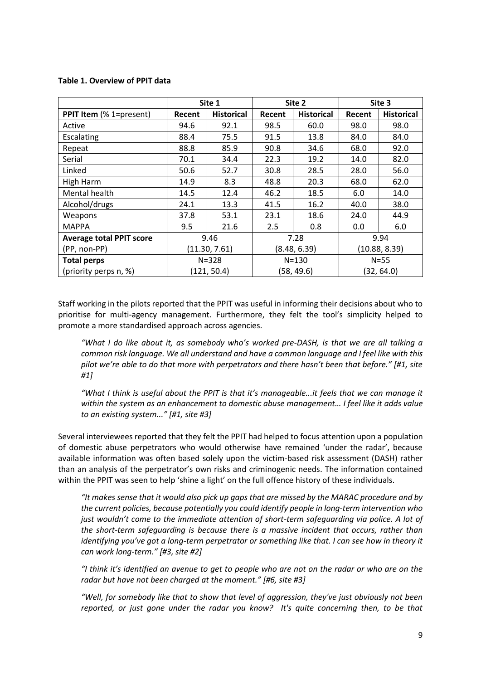# **Table 1. Overview of PPIT data**

|                                 | Site 1        |                   | Site 2       |                   | Site 3        |                   |
|---------------------------------|---------------|-------------------|--------------|-------------------|---------------|-------------------|
| PPIT Item (% 1=present)         | Recent        | <b>Historical</b> | Recent       | <b>Historical</b> | Recent        | <b>Historical</b> |
| Active                          | 94.6          | 92.1              | 98.5         | 60.0              | 98.0          | 98.0              |
| Escalating                      | 88.4          | 75.5              | 91.5         | 13.8              | 84.0          | 84.0              |
| Repeat                          | 88.8          | 85.9              | 90.8         | 34.6              | 68.0          | 92.0              |
| Serial                          | 70.1          | 34.4              | 22.3         | 19.2              | 14.0          | 82.0              |
| Linked                          | 50.6          | 52.7              | 30.8         | 28.5              | 28.0          | 56.0              |
| High Harm                       | 14.9          | 8.3               | 48.8         | 20.3              | 68.0          | 62.0              |
| Mental health                   | 14.5          | 12.4              | 46.2         | 18.5              | 6.0           | 14.0              |
| Alcohol/drugs                   | 24.1          | 13.3              | 41.5         | 16.2              | 40.0          | 38.0              |
| Weapons                         | 37.8          | 53.1              | 23.1         | 18.6              | 24.0          | 44.9              |
| <b>MAPPA</b>                    | 9.5           | 21.6              | 2.5          | 0.8               | 0.0           | 6.0               |
| <b>Average total PPIT score</b> | 9.46          |                   | 7.28         |                   | 9.94          |                   |
| (PP, non-PP)                    | (11.30, 7.61) |                   | (8.48, 6.39) |                   | (10.88, 8.39) |                   |
| <b>Total perps</b>              | $N = 328$     |                   | $N = 130$    |                   | $N=55$        |                   |
| (priority perps n, %)           | (121, 50.4)   |                   | (58, 49.6)   |                   | (32, 64.0)    |                   |

Staff working in the pilots reported that the PPIT was useful in informing their decisions about who to prioritise for multi-agency management. Furthermore, they felt the tool's simplicity helped to promote a more standardised approach across agencies.

*"What I do like about it, as somebody who's worked pre-DASH, is that we are all talking a common risk language. We all understand and have a common language and I feel like with this pilot we're able to do that more with perpetrators and there hasn't been that before." [#1, site #1]* 

*"What I think is useful about the PPIT is that it's manageable...it feels that we can manage it within the system as an enhancement to domestic abuse management… I feel like it adds value to an existing system..." [#1, site #3]* 

Several interviewees reported that they felt the PPIT had helped to focus attention upon a population of domestic abuse perpetrators who would otherwise have remained 'under the radar', because available information was often based solely upon the victim-based risk assessment (DASH) rather than an analysis of the perpetrator's own risks and criminogenic needs. The information contained within the PPIT was seen to help 'shine a light' on the full offence history of these individuals.

*"It makes sense that it would also pick up gaps that are missed by the MARAC procedure and by the current policies, because potentially you could identify people in long-term intervention who just wouldn't come to the immediate attention of short-term safeguarding via police. A lot of the short-term safeguarding is because there is a massive incident that occurs, rather than identifying you've got a long-term perpetrator or something like that. I can see how in theory it can work long-term." [#3, site #2]* 

*"I think it's identified an avenue to get to people who are not on the radar or who are on the radar but have not been charged at the moment." [#6, site #3]* 

*"Well, for somebody like that to show that level of aggression, they've just obviously not been reported, or just gone under the radar you know? It's quite concerning then, to be that*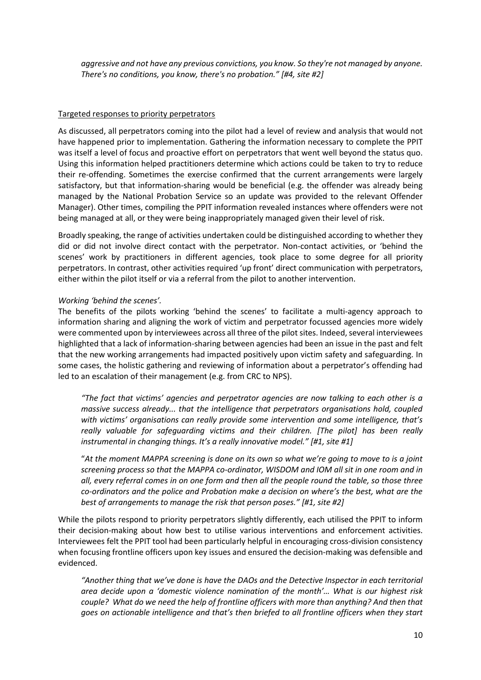*aggressive and not have any previous convictions, you know. So they're not managed by anyone. There's no conditions, you know, there's no probation." [#4, site #2]* 

# Targeted responses to priority perpetrators

As discussed, all perpetrators coming into the pilot had a level of review and analysis that would not have happened prior to implementation. Gathering the information necessary to complete the PPIT was itself a level of focus and proactive effort on perpetrators that went well beyond the status quo. Using this information helped practitioners determine which actions could be taken to try to reduce their re-offending. Sometimes the exercise confirmed that the current arrangements were largely satisfactory, but that information-sharing would be beneficial (e.g. the offender was already being managed by the National Probation Service so an update was provided to the relevant Offender Manager). Other times, compiling the PPIT information revealed instances where offenders were not being managed at all, or they were being inappropriately managed given their level of risk.

Broadly speaking, the range of activities undertaken could be distinguished according to whether they did or did not involve direct contact with the perpetrator. Non-contact activities, or 'behind the scenes' work by practitioners in different agencies, took place to some degree for all priority perpetrators. In contrast, other activities required 'up front' direct communication with perpetrators, either within the pilot itself or via a referral from the pilot to another intervention.

#### *Working 'behind the scenes'.*

The benefits of the pilots working 'behind the scenes' to facilitate a multi-agency approach to information sharing and aligning the work of victim and perpetrator focussed agencies more widely were commented upon by interviewees across all three of the pilot sites. Indeed, several interviewees highlighted that a lack of information-sharing between agencies had been an issue in the past and felt that the new working arrangements had impacted positively upon victim safety and safeguarding. In some cases, the holistic gathering and reviewing of information about a perpetrator's offending had led to an escalation of their management (e.g. from CRC to NPS).

*"The fact that victims' agencies and perpetrator agencies are now talking to each other is a massive success already... that the intelligence that perpetrators organisations hold, coupled with victims' organisations can really provide some intervention and some intelligence, that's really valuable for safeguarding victims and their children. [The pilot] has been really instrumental in changing things. It's a really innovative model." [#1, site #1]* 

"*At the moment MAPPA screening is done on its own so what we're going to move to is a joint screening process so that the MAPPA co-ordinator, WISDOM and IOM all sit in one room and in all, every referral comes in on one form and then all the people round the table, so those three co-ordinators and the police and Probation make a decision on where's the best, what are the best of arrangements to manage the risk that person poses." [#1, site #2]* 

While the pilots respond to priority perpetrators slightly differently, each utilised the PPIT to inform their decision-making about how best to utilise various interventions and enforcement activities. Interviewees felt the PPIT tool had been particularly helpful in encouraging cross-division consistency when focusing frontline officers upon key issues and ensured the decision-making was defensible and evidenced.

*"Another thing that we've done is have the DAOs and the Detective Inspector in each territorial area decide upon a 'domestic violence nomination of the month'… What is our highest risk couple? What do we need the help of frontline officers with more than anything? And then that goes on actionable intelligence and that's then briefed to all frontline officers when they start*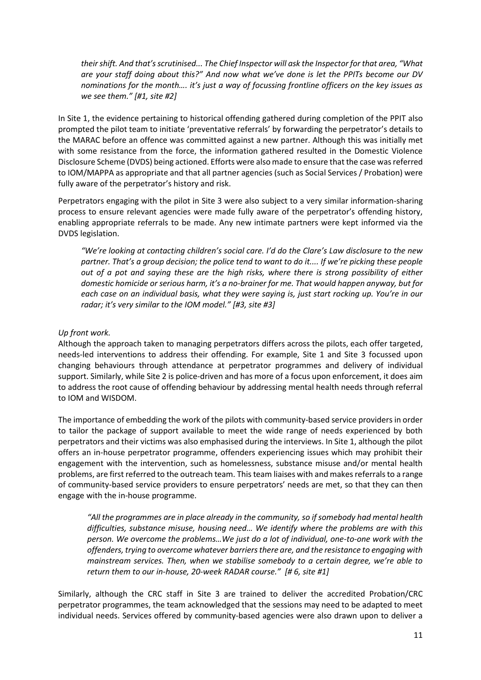*their shift. And that's scrutinised... The Chief Inspector will ask the Inspector for that area, "What are your staff doing about this?" And now what we've done is let the PPITs become our DV nominations for the month…. it's just a way of focussing frontline officers on the key issues as we see them." [#1, site #2]*

In Site 1, the evidence pertaining to historical offending gathered during completion of the PPIT also prompted the pilot team to initiate 'preventative referrals' by forwarding the perpetrator's details to the MARAC before an offence was committed against a new partner. Although this was initially met with some resistance from the force, the information gathered resulted in the Domestic Violence Disclosure Scheme (DVDS) being actioned. Efforts were also made to ensure that the case was referred to IOM/MAPPA as appropriate and that all partner agencies (such as Social Services / Probation) were fully aware of the perpetrator's history and risk.

Perpetrators engaging with the pilot in Site 3 were also subject to a very similar information-sharing process to ensure relevant agencies were made fully aware of the perpetrator's offending history, enabling appropriate referrals to be made. Any new intimate partners were kept informed via the DVDS legislation.

*"We're looking at contacting children's social care. I'd do the Clare's Law disclosure to the new partner. That's a group decision; the police tend to want to do it.... If we're picking these people out of a pot and saying these are the high risks, where there is strong possibility of either domestic homicide or serious harm, it's a no-brainer for me. That would happen anyway, but for each case on an individual basis, what they were saying is, just start rocking up. You're in our radar; it's very similar to the IOM model." [#3, site #3]* 

# *Up front work.*

Although the approach taken to managing perpetrators differs across the pilots, each offer targeted, needs-led interventions to address their offending. For example, Site 1 and Site 3 focussed upon changing behaviours through attendance at perpetrator programmes and delivery of individual support. Similarly, while Site 2 is police-driven and has more of a focus upon enforcement, it does aim to address the root cause of offending behaviour by addressing mental health needs through referral to IOM and WISDOM.

The importance of embedding the work of the pilots with community-based service providers in order to tailor the package of support available to meet the wide range of needs experienced by both perpetrators and their victims was also emphasised during the interviews. In Site 1, although the pilot offers an in-house perpetrator programme, offenders experiencing issues which may prohibit their engagement with the intervention, such as homelessness, substance misuse and/or mental health problems, are first referred to the outreach team. This team liaises with and makes referrals to a range of community-based service providers to ensure perpetrators' needs are met, so that they can then engage with the in-house programme.

*"All the programmes are in place already in the community, so if somebody had mental health difficulties, substance misuse, housing need… We identify where the problems are with this person. We overcome the problems…We just do a lot of individual, one-to-one work with the offenders, trying to overcome whatever barriers there are, and the resistance to engaging with mainstream services. Then, when we stabilise somebody to a certain degree, we're able to return them to our in-house, 20-week RADAR course." [# 6, site #1]* 

Similarly, although the CRC staff in Site 3 are trained to deliver the accredited Probation/CRC perpetrator programmes, the team acknowledged that the sessions may need to be adapted to meet individual needs. Services offered by community-based agencies were also drawn upon to deliver a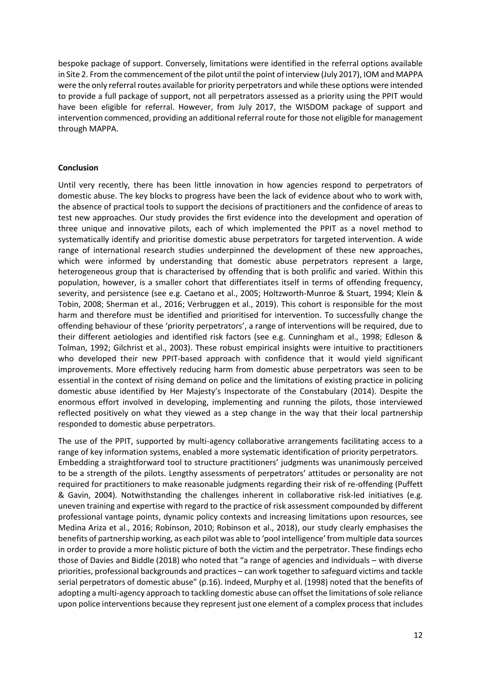bespoke package of support. Conversely, limitations were identified in the referral options available in Site 2. From the commencement of the pilot until the point of interview (July 2017), IOM and MAPPA were the only referral routes available for priority perpetrators and while these options were intended to provide a full package of support, not all perpetrators assessed as a priority using the PPIT would have been eligible for referral. However, from July 2017, the WISDOM package of support and intervention commenced, providing an additional referral route for those not eligible for management through MAPPA.

#### **Conclusion**

Until very recently, there has been little innovation in how agencies respond to perpetrators of domestic abuse. The key blocks to progress have been the lack of evidence about who to work with, the absence of practical tools to support the decisions of practitioners and the confidence of areas to test new approaches. Our study provides the first evidence into the development and operation of three unique and innovative pilots, each of which implemented the PPIT as a novel method to systematically identify and prioritise domestic abuse perpetrators for targeted intervention. A wide range of international research studies underpinned the development of these new approaches, which were informed by understanding that domestic abuse perpetrators represent a large, heterogeneous group that is characterised by offending that is both prolific and varied. Within this population, however, is a smaller cohort that differentiates itself in terms of offending frequency, severity, and persistence (see e.g. Caetano et al., 2005; Holtzworth-Munroe & Stuart, 1994; Klein & Tobin, 2008; Sherman et al., 2016; Verbruggen et al., 2019). This cohort is responsible for the most harm and therefore must be identified and prioritised for intervention. To successfully change the offending behaviour of these 'priority perpetrators', a range of interventions will be required, due to their different aetiologies and identified risk factors (see e.g. Cunningham et al., 1998; Edleson & Tolman, 1992; Gilchrist et al., 2003). These robust empirical insights were intuitive to practitioners who developed their new PPIT-based approach with confidence that it would yield significant improvements. More effectively reducing harm from domestic abuse perpetrators was seen to be essential in the context of rising demand on police and the limitations of existing practice in policing domestic abuse identified by Her Majesty's Inspectorate of the Constabulary (2014). Despite the enormous effort involved in developing, implementing and running the pilots, those interviewed reflected positively on what they viewed as a step change in the way that their local partnership responded to domestic abuse perpetrators.

The use of the PPIT, supported by multi-agency collaborative arrangements facilitating access to a range of key information systems, enabled a more systematic identification of priority perpetrators. Embedding a straightforward tool to structure practitioners' judgments was unanimously perceived to be a strength of the pilots. Lengthy assessments of perpetrators' attitudes or personality are not required for practitioners to make reasonable judgments regarding their risk of re-offending (Puffett & Gavin, 2004). Notwithstanding the challenges inherent in collaborative risk-led initiatives (e.g. uneven training and expertise with regard to the practice of risk assessment compounded by different professional vantage points, dynamic policy contexts and increasing limitations upon resources, see Medina Ariza et al., 2016; Robinson, 2010; Robinson et al., 2018), our study clearly emphasises the benefits of partnership working, as each pilot was able to 'pool intelligence' from multiple data sources in order to provide a more holistic picture of both the victim and the perpetrator. These findings echo those of Davies and Biddle (2018) who noted that "a range of agencies and individuals – with diverse priorities, professional backgrounds and practices – can work together to safeguard victims and tackle serial perpetrators of domestic abuse" (p.16). Indeed, Murphy et al. (1998) noted that the benefits of adopting a multi-agency approach to tackling domestic abuse can offset the limitations of sole reliance upon police interventions because they represent just one element of a complex process that includes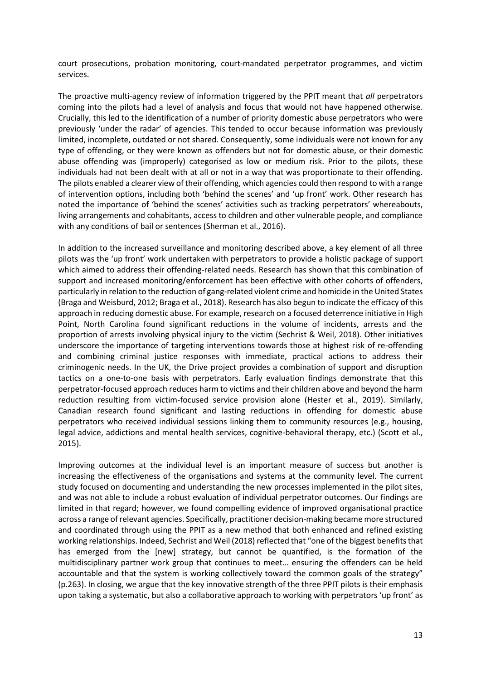court prosecutions, probation monitoring, court-mandated perpetrator programmes, and victim services.

The proactive multi-agency review of information triggered by the PPIT meant that *all* perpetrators coming into the pilots had a level of analysis and focus that would not have happened otherwise. Crucially, this led to the identification of a number of priority domestic abuse perpetrators who were previously 'under the radar' of agencies. This tended to occur because information was previously limited, incomplete, outdated or not shared. Consequently, some individuals were not known for any type of offending, or they were known as offenders but not for domestic abuse, or their domestic abuse offending was (improperly) categorised as low or medium risk. Prior to the pilots, these individuals had not been dealt with at all or not in a way that was proportionate to their offending. The pilots enabled a clearer view of their offending, which agencies could then respond to with a range of intervention options, including both 'behind the scenes' and 'up front' work. Other research has noted the importance of 'behind the scenes' activities such as tracking perpetrators' whereabouts, living arrangements and cohabitants, access to children and other vulnerable people, and compliance with any conditions of bail or sentences (Sherman et al., 2016).

In addition to the increased surveillance and monitoring described above, a key element of all three pilots was the 'up front' work undertaken with perpetrators to provide a holistic package of support which aimed to address their offending-related needs. Research has shown that this combination of support and increased monitoring/enforcement has been effective with other cohorts of offenders, particularly in relation to the reduction of gang-related violent crime and homicide in the United States (Braga and Weisburd, 2012; Braga et al., 2018). Research has also begun to indicate the efficacy of this approach in reducing domestic abuse. For example, research on a focused deterrence initiative in High Point, North Carolina found significant reductions in the volume of incidents, arrests and the proportion of arrests involving physical injury to the victim (Sechrist & Weil, 2018). Other initiatives underscore the importance of targeting interventions towards those at highest risk of re-offending and combining criminal justice responses with immediate, practical actions to address their criminogenic needs. In the UK, the Drive project provides a combination of support and disruption tactics on a one-to-one basis with perpetrators. Early evaluation findings demonstrate that this perpetrator-focused approach reduces harm to victims and their children above and beyond the harm reduction resulting from victim-focused service provision alone (Hester et al., 2019). Similarly, Canadian research found significant and lasting reductions in offending for domestic abuse perpetrators who received individual sessions linking them to community resources (e.g., housing, legal advice, addictions and mental health services, cognitive-behavioral therapy, etc.) (Scott et al., 2015).

Improving outcomes at the individual level is an important measure of success but another is increasing the effectiveness of the organisations and systems at the community level. The current study focused on documenting and understanding the new processes implemented in the pilot sites, and was not able to include a robust evaluation of individual perpetrator outcomes. Our findings are limited in that regard; however, we found compelling evidence of improved organisational practice across a range of relevant agencies. Specifically, practitioner decision-making became more structured and coordinated through using the PPIT as a new method that both enhanced and refined existing working relationships. Indeed, Sechrist and Weil (2018) reflected that "one of the biggest benefits that has emerged from the [new] strategy, but cannot be quantified, is the formation of the multidisciplinary partner work group that continues to meet… ensuring the offenders can be held accountable and that the system is working collectively toward the common goals of the strategy" (p.263). In closing, we argue that the key innovative strength of the three PPIT pilots is their emphasis upon taking a systematic, but also a collaborative approach to working with perpetrators 'up front' as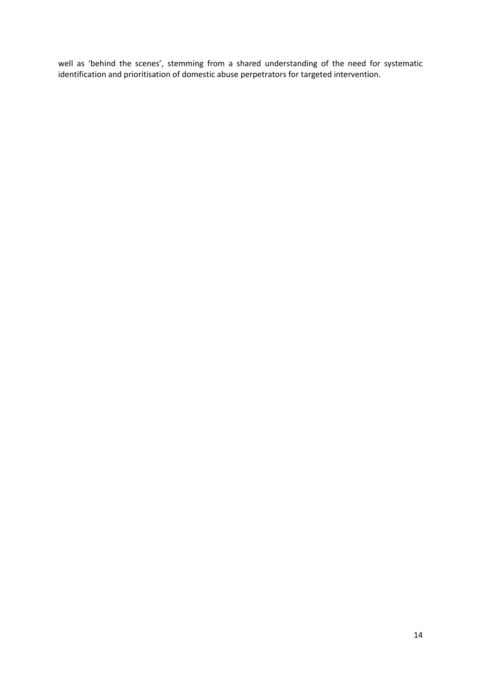well as 'behind the scenes', stemming from a shared understanding of the need for systematic identification and prioritisation of domestic abuse perpetrators for targeted intervention.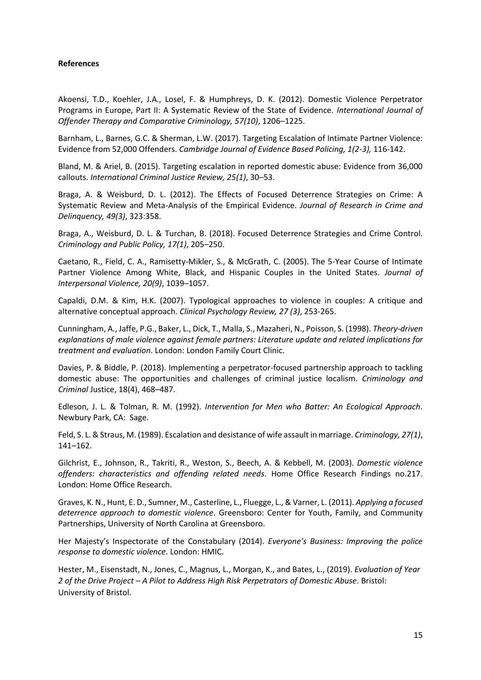# **References**

Akoensi, T.D., Koehler, J.A., Losel, F. & Humphreys, D. K. (2012). Domestic Violence Perpetrator Programs in Europe, Part II: A Systematic Review of the State of Evidence. *International Journal of Offender Therapy and Comparative Criminology, 57(10)*, 1206–1225.

Barnham, L., Barnes, G.C. & Sherman, L.W. (2017). Targeting Escalation of Intimate Partner Violence: Evidence from 52,000 Offenders. *Cambridge Journal of Evidence Based Policing, 1(2-3),* 116-142.

Bland, M. & Ariel, B. (2015). Targeting escalation in reported domestic abuse: Evidence from 36,000 callouts. *International Criminal Justice Review, 25(1)*, 30–53.

Braga, A. & Weisburd, D. L. (2012). The Effects of Focused Deterrence Strategies on Crime: A Systematic Review and Meta-Analysis of the Empirical Evidence. *Journal of Research in Crime and Delinquency, 49(3)*, 323:358.

Braga, A., Weisburd, D. L. & Turchan, B. (2018). Focused Deterrence Strategies and Crime Control. *Criminology and Public Policy, 17(1)*, 205–250.

Caetano, R., Field, C. A., Ramisetty-Mikler, S., & McGrath, C. (2005). The 5-Year Course of Intimate Partner Violence Among White, Black, and Hispanic Couples in the United States. *Journal of Interpersonal Violence, 20(9)*, 1039–1057.

Capaldi, D.M. & Kim, H.K. (2007). Typological approaches to violence in couples: A critique and alternative conceptual approach. *Clinical Psychology Review, 27 (3)*, 253-265.

Cunningham, A., Jaffe, P.G., Baker, L., Dick, T., Malla, S., Mazaheri, N., Poisson, S. (1998). *Theory-driven explanations of male violence against female partners: Literature update and related implications for treatment and evaluation*. London: London Family Court Clinic.

Davies, P. & Biddle, P. (2018). Implementing a perpetrator-focused partnership approach to tackling domestic abuse: The opportunities and challenges of criminal justice localism. *Criminology and Criminal* Justice, 18(4), 468–487.

Edleson, J. L. & Tolman, R. M. (1992). *Intervention for Men who Batter: An Ecological Approach*. Newbury Park, CA: Sage.

Feld, S. L. & Straus, M. (1989). Escalation and desistance of wife assault in marriage. *Criminology, 27(1)*, 141–162.

Gilchrist, E., Johnson, R., Takriti, R., Weston, S., Beech, A. & Kebbell, M. (2003). *Domestic violence offenders: characteristics and offending related needs*. Home Office Research Findings no.217. London: Home Office Research.

Graves, K. N., Hunt, E. D., Sumner, M., Casterline, L., Fluegge, L., & Varner, L. (2011). *Applying a focused deterrence approach to domestic violence*. Greensboro: Center for Youth, Family, and Community Partnerships, University of North Carolina at Greensboro.

Her Majesty's Inspectorate of the Constabulary (2014). *Everyone's Business: Improving the police response to domestic violence*. London: HMIC.

Hester, M., Eisenstadt, N., Jones, C., Magnus, L., Morgan, K., and Bates, L., (2019). *Evaluation of Year 2 of the Drive Project – A Pilot to Address High Risk Perpetrators of Domestic Abuse*. Bristol: University of Bristol.